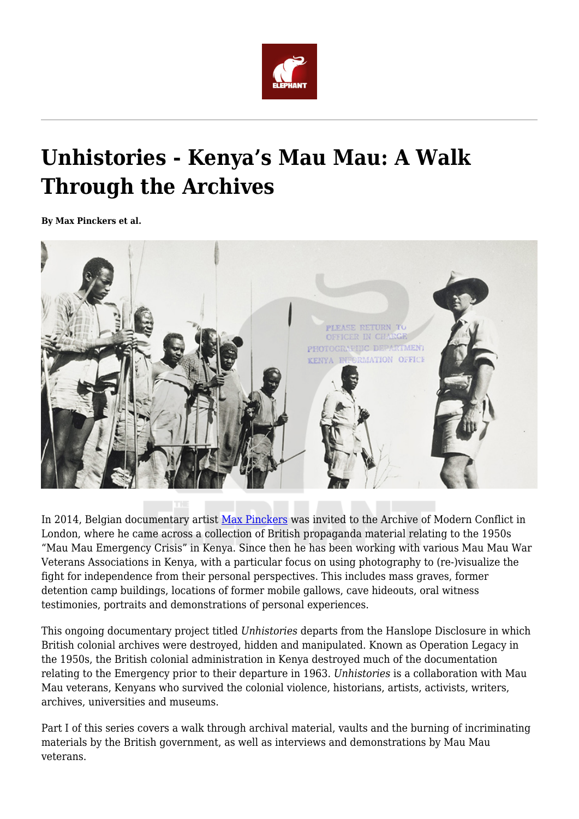

## **Unhistories - Kenya's Mau Mau: A Walk Through the Archives**

**By Max Pinckers et al.**



In 2014, Belgian documentary artist [Max Pinckers](https://www.maxpinckers.be/) was invited to the Archive of Modern Conflict in London, where he came across a collection of British propaganda material relating to the 1950s "Mau Mau Emergency Crisis" in Kenya. Since then he has been working with various Mau Mau War Veterans Associations in Kenya, with a particular focus on using photography to (re-)visualize the fight for independence from their personal perspectives. This includes mass graves, former detention camp buildings, locations of former mobile gallows, cave hideouts, oral witness testimonies, portraits and demonstrations of personal experiences.

This ongoing documentary project titled *Unhistories* departs from the Hanslope Disclosure in which British colonial archives were destroyed, hidden and manipulated. Known as Operation Legacy in the 1950s, the British colonial administration in Kenya destroyed much of the documentation relating to the Emergency prior to their departure in 1963. *Unhistories* is a collaboration with Mau Mau veterans, Kenyans who survived the colonial violence, historians, artists, activists, writers, archives, universities and museums.

Part I of this series covers a walk through archival material, vaults and the burning of incriminating materials by the British government, as well as interviews and demonstrations by Mau Mau veterans.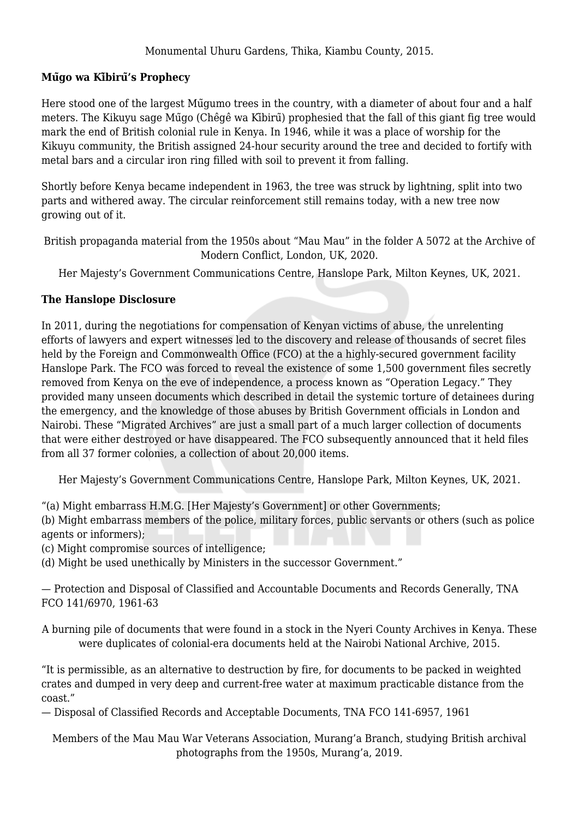## **Mũgo wa Kĩbirũ's Prophecy**

Here stood one of the largest Mũgumo trees in the country, with a diameter of about four and a half meters. The Kikuyu sage Mũgo (Chêgê wa Kĩbirũ) prophesied that the fall of this giant fig tree would mark the end of British colonial rule in Kenya. In 1946, while it was a place of worship for the Kikuyu community, the British assigned 24-hour security around the tree and decided to fortify with metal bars and a circular iron ring filled with soil to prevent it from falling.

Shortly before Kenya became independent in 1963, the tree was struck by lightning, split into two parts and withered away. The circular reinforcement still remains today, with a new tree now growing out of it.

British propaganda material from the 1950s about "Mau Mau" in the folder A 5072 at the Archive of Modern Conflict, London, UK, 2020.

Her Majesty's Government Communications Centre, Hanslope Park, Milton Keynes, UK, 2021.

## **The Hanslope Disclosure**

In 2011, during the negotiations for compensation of Kenyan victims of abuse, the unrelenting efforts of lawyers and expert witnesses led to the discovery and release of thousands of secret files held by the Foreign and Commonwealth Office (FCO) at the a highly-secured government facility Hanslope Park. The FCO was forced to reveal the existence of some 1,500 government files secretly removed from Kenya on the eve of independence, a process known as "Operation Legacy." They provided many unseen documents which described in detail the systemic torture of detainees during the emergency, and the knowledge of those abuses by British Government officials in London and Nairobi. These "Migrated Archives" are just a small part of a much larger collection of documents that were either destroyed or have disappeared. The FCO subsequently announced that it held files from all 37 former colonies, a collection of about 20,000 items.

Her Majesty's Government Communications Centre, Hanslope Park, Milton Keynes, UK, 2021.

"(a) Might embarrass H.M.G. [Her Majesty's Government] or other Governments;

(b) Might embarrass members of the police, military forces, public servants or others (such as police agents or informers);

(c) Might compromise sources of intelligence;

(d) Might be used unethically by Ministers in the successor Government."

— Protection and Disposal of Classified and Accountable Documents and Records Generally, TNA FCO 141/6970, 1961-63

A burning pile of documents that were found in a stock in the Nyeri County Archives in Kenya. These were duplicates of colonial-era documents held at the Nairobi National Archive, 2015.

"It is permissible, as an alternative to destruction by fire, for documents to be packed in weighted crates and dumped in very deep and current-free water at maximum practicable distance from the coast."

— Disposal of Classified Records and Acceptable Documents, TNA FCO 141-6957, 1961

Members of the Mau Mau War Veterans Association, Murang'a Branch, studying British archival photographs from the 1950s, Murang'a, 2019.